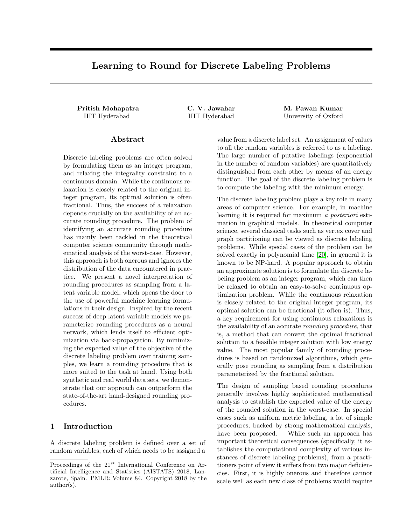# Learning to Round for Discrete Labeling Problems

Pritish Mohapatra C. V. Jawahar M. Pawan Kumar

IIIT Hyderabad IIIT Hyderabad University of Oxford

### Abstract

Discrete labeling problems are often solved by formulating them as an integer program, and relaxing the integrality constraint to a continuous domain. While the continuous relaxation is closely related to the original integer program, its optimal solution is often fractional. Thus, the success of a relaxation depends crucially on the availability of an accurate rounding procedure. The problem of identifying an accurate rounding procedure has mainly been tackled in the theoretical computer science community through mathematical analysis of the worst-case. However, this approach is both onerous and ignores the distribution of the data encountered in practice. We present a novel interpretation of rounding procedures as sampling from a latent variable model, which opens the door to the use of powerful machine learning formulations in their design. Inspired by the recent success of deep latent variable models we parameterize rounding procedures as a neural network, which lends itself to efficient optimization via back-propagation. By minimizing the expected value of the objective of the discrete labeling problem over training samples, we learn a rounding procedure that is more suited to the task at hand. Using both synthetic and real world data sets, we demonstrate that our approach can outperform the state-of-the-art hand-designed rounding procedures.

# 1 Introduction

A discrete labeling problem is defined over a set of random variables, each of which needs to be assigned a

value from a discrete label set. An assignment of values to all the random variables is referred to as a labeling. The large number of putative labelings (exponential in the number of random variables) are quantitatively distinguished from each other by means of an energy function. The goal of the discrete labeling problem is to compute the labeling with the minimum energy.

The discrete labeling problem plays a key role in many areas of computer science. For example, in machine learning it is required for maximum a posteriori estimation in graphical models. In theoretical computer science, several classical tasks such as vertex cover and graph partitioning can be viewed as discrete labeling problems. While special cases of the problem can be solved exactly in polynomial time [\[20\]](#page-8-0), in general it is known to be NP-hard. A popular approach to obtain an approximate solution is to formulate the discrete labeling problem as an integer program, which can then be relaxed to obtain an easy-to-solve continuous optimization problem. While the continuous relaxation is closely related to the original integer program, its optimal solution can be fractional (it often is). Thus, a key requirement for using continuous relaxations is the availability of an accurate rounding procedure, that is, a method that can convert the optimal fractional solution to a feasible integer solution with low energy value. The most popular family of rounding procedures is based on randomized algorithms, which generally pose rounding as sampling from a distribution parameterized by the fractional solution.

The design of sampling based rounding procedures generally involves highly sophisticated mathematical analysis to establish the expected value of the energy of the rounded solution in the worst-case. In special cases such as uniform metric labeling, a lot of simple procedures, backed by strong mathematical analysis, have been proposed. While such an approach has important theoretical consequences (specifically, it establishes the computational complexity of various instances of discrete labeling problems), from a practitioners point of view it suffers from two major deficiencies. First, it is highly onerous and therefore cannot scale well as each new class of problems would require

Proceedings of the  $21^{st}$  International Conference on Artificial Intelligence and Statistics (AISTATS) 2018, Lanzarote, Spain. PMLR: Volume 84. Copyright 2018 by the author(s).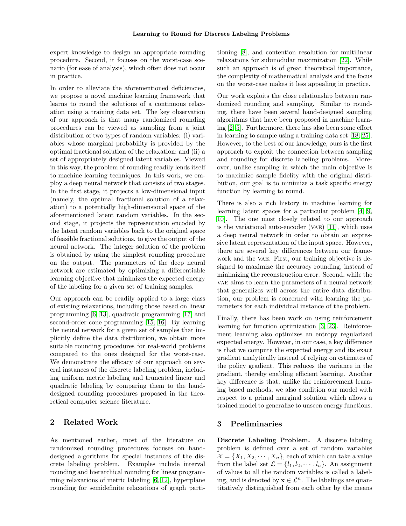expert knowledge to design an appropriate rounding procedure. Second, it focuses on the worst-case scenario (for ease of analysis), which often does not occur in practice.

In order to alleviate the aforementioned deficiencies, we propose a novel machine learning framework that learns to round the solutions of a continuous relaxation using a training data set. The key observation of our approach is that many randomized rounding procedures can be viewed as sampling from a joint distribution of two types of random variables: (i) variables whose marginal probability is provided by the optimal fractional solution of the relaxation; and (ii) a set of appropriately designed latent variables. Viewed in this way, the problem of rounding readily lends itself to machine learning techniques. In this work, we employ a deep neural network that consists of two stages. In the first stage, it projects a low-dimensional input (namely, the optimal fractional solution of a relaxation) to a potentially high-dimensional space of the aforementioned latent random variables. In the second stage, it projects the representation encoded by the latent random variables back to the original space of feasible fractional solutions, to give the output of the neural network. The integer solution of the problem is obtained by using the simplest rounding procedure on the output. The parameters of the deep neural network are estimated by optimizing a differentiable learning objective that minimizes the expected energy of the labeling for a given set of training samples.

Our approach can be readily applied to a large class of existing relaxations, including those based on linear programming [\[6,](#page-8-1) [13\]](#page-8-2), quadratic programming [\[17\]](#page-8-3) and second-order cone programming [\[15,](#page-8-4) [16\]](#page-8-5). By learning the neural network for a given set of samples that implicitly define the data distribution, we obtain more suitable rounding procedures for real-world problems compared to the ones designed for the worst-case. We demonstrate the efficacy of our approach on several instances of the discrete labeling problem, including uniform metric labeling and truncated linear and quadratic labeling by comparing them to the handdesigned rounding procedures proposed in the theoretical computer science literature.

## 2 Related Work

As mentioned earlier, most of the literature on randomized rounding procedures focuses on handdesigned algorithms for special instances of the discrete labeling problem. Examples include interval rounding and hierarchical rounding for linear programming relaxations of metric labeling [\[6,](#page-8-1) [12\]](#page-8-6), hyperplane rounding for semidefinite relaxations of graph partitioning [\[8\]](#page-8-7), and contention resolution for multilinear relaxations for submodular maximization [\[22\]](#page-8-8). While such an approach is of great theoretical importance, the complexity of mathematical analysis and the focus on the worst-case makes it less appealing in practice.

Our work exploits the close relationship between randomized rounding and sampling. Similar to rounding, there have been several hand-designed sampling algorithms that have been proposed in machine learning [\[2,](#page-8-9) [5\]](#page-8-10). Furthermore, there has also been some effort in learning to sample using a training data set [\[18,](#page-8-11) [25\]](#page-9-0). However, to the best of our knowledge, ours is the first approach to exploit the connection between sampling and rounding for discrete labeling problems. Moreover, unlike sampling in which the main objective is to maximize sample fidelity with the original distribution, our goal is to minimize a task specific energy function by learning to round.

There is also a rich history in machine learning for learning latent spaces for a particular problem [\[4,](#page-8-12) [9,](#page-8-13) [10\]](#page-8-14). The one most closely related to our approach is the variational auto-encoder (VAE)  $[11]$ , which uses a deep neural network in order to obtain an expressive latent representation of the input space. However, there are several key differences between our framework and the vae. First, our training objective is designed to maximize the accuracy rounding, instead of minimizing the reconstruction error. Second, while the vae aims to learn the parameters of a neural network that generalizes well across the entire data distribution, our problem is concerned with learning the parameters for each individual instance of the problem.

Finally, there has been work on using reinforcement learning for function optimization [\[3,](#page-8-16) [23\]](#page-8-17). Reinforcement learning also optimizes an entropy regularized expected energy. However, in our case, a key difference is that we compute the expected energy and its exact gradient analytically instead of relying on estimates of the policy gradient. This reduces the variance in the gradient, thereby enabling efficient learning. Another key difference is that, unlike the reinforcement learning based methods, we also condition our model with respect to a primal marginal solution which allows a trained model to generalize to unseen energy functions.

# 3 Preliminaries

Discrete Labeling Problem. A discrete labeling problem is defined over a set of random variables  $\mathcal{X} = \{X_1, X_2, \cdots, X_n\}$ , each of which can take a value from the label set  $\mathcal{L} = \{l_1, l_2, \cdots, l_h\}$ . An assignment of values to all the random variables is called a labeling, and is denoted by  $\mathbf{x} \in \mathcal{L}^n$ . The labelings are quantitatively distinguished from each other by the means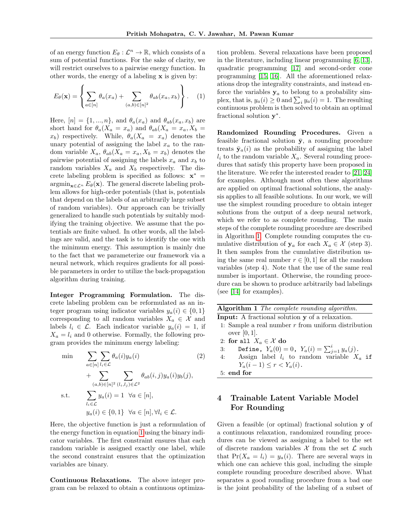of an energy function  $E_{\theta}: \mathcal{L}^n \to \mathbb{R}$ , which consists of a sum of potential functions. For the sake of clarity, we will restrict ourselves to a pairwise energy function. In other words, the energy of a labeling  $x$  is given by:

<span id="page-2-0"></span>
$$
E_{\theta}(\mathbf{x}) = \left\{ \sum_{a \in [n]} \theta_a(x_a) + \sum_{(a,b) \in [n]^2} \theta_{ab}(x_a, x_b) \right\}.
$$
 (1)

Here,  $[n] = \{1, ..., n\}$ , and  $\theta_a(x_a)$  and  $\theta_{ab}(x_a, x_b)$  are short hand for  $\theta_a(X_a = x_a)$  and  $\theta_{ab}(X_a = x_a, X_b =$  $x_b$ ) respectively. While,  $\theta_a(X_a = x_a)$  denotes the unary potential of assigning the label  $x_a$  to the random variable  $X_a$ ,  $\theta_{ab}(X_a = x_a, X_b = x_b)$  denotes the pairwise potential of assigning the labels  $x_a$  and  $x_b$  to random variables  $X_a$  and  $X_b$  respectively. The discrete labeling problem is specified as follows:  $\mathbf{x}^*$  =  $\operatorname{argmin}_{\mathbf{x} \in \mathcal{L}^n} E_{\theta}(\mathbf{x})$ . The general discrete labeling problem allows for high-order potentials (that is, potentials that depend on the labels of an arbitrarily large subset of random variables). Our approach can be trivially generalized to handle such potentials by suitably modifying the training objective. We assume that the potentials are finite valued. In other words, all the labelings are valid, and the task is to identify the one with the minimum energy. This assumption is mainly due to the fact that we parameterize our framework via a neural network, which requires gradients for all possible parameters in order to utilize the back-propagation algorithm during training.

Integer Programming Formulation. The discrete labeling problem can be reformulated as an integer program using indicator variables  $y_a(i) \in \{0, 1\}$ corresponding to all random variables  $X_a \in \mathcal{X}$  and labels  $l_i \in \mathcal{L}$ . Each indicator variable  $y_a(i) = 1$ , if  $X_a = l_i$  and 0 otherwise. Formally, the following program provides the minimum energy labeling:

$$
\min \sum_{a \in [n]} \sum_{l_i \in \mathcal{L}} \theta_a(i) y_a(i) \tag{2}
$$
\n
$$
+ \sum_{(a,b) \in [n]^2} \sum_{(l_i,l_j) \in \mathcal{L}^2} \theta_{ab}(i,j) y_a(i) y_b(j),
$$
\n
$$
\text{s.t.} \sum_{l_i \in \mathcal{L}} y_a(i) = 1 \quad \forall a \in [n],
$$
\n
$$
y_a(i) \in \{0,1\} \quad \forall a \in [n], \forall l_i \in \mathcal{L}.
$$

Here, the objective function is just a reformulation of the energy function in equation [1](#page-2-0) using the binary indicator variables. The first constraint ensures that each random variable is assigned exactly one label, while the second constraint ensures that the optimization variables are binary.

Continuous Relaxations. The above integer program can be relaxed to obtain a continuous optimiza-

tion problem. Several relaxations have been proposed in the literature, including linear programming [\[6,](#page-8-1) [13\]](#page-8-2), quadratic programming [\[17\]](#page-8-3) and second-order cone programming [\[15,](#page-8-4) [16\]](#page-8-5). All the aforementioned relaxations drop the integrality constraints, and instead enforce the variables  $y_a$  to belong to a probability simplex, that is,  $y_a(i) \ge 0$  and  $\sum_i y_a(i) = 1$ . The resulting continuous problem is then solved to obtain an optimal fractional solution  $y^*$ .

Randomized Rounding Procedures. Given a feasible fractional solution  $\bar{y}$ , a rounding procedure treats  $\bar{y}_a(i)$  as the probability of assigning the label  $l_i$  to the random variable  $X_a$ . Several rounding procedures that satisfy this property have been proposed in the literature. We refer the interested reader to [\[21,](#page-8-18) [24\]](#page-9-1) for examples. Although most often these algorithms are applied on optimal fractional solutions, the analysis applies to all feasible solutions. In our work, we will use the simplest rounding procedure to obtain integer solutions from the output of a deep neural network, which we refer to as complete rounding. The main steps of the complete rounding procedure are described in Algorithm [1.](#page-2-1) Complete rounding computes the cumulative distribution of  $y_a$  for each  $X_a \in \mathcal{X}$  (step 3). It then samples from the cumulative distribution using the same real number  $r \in [0, 1]$  for all the random variables (step 4). Note that the use of the same real number is important. Otherwise, the rounding procedure can be shown to produce arbitrarily bad labelings (see [\[14\]](#page-8-19) for examples).

<span id="page-2-1"></span>

| Algorithm 1 The complete rounding algorithm.                    |
|-----------------------------------------------------------------|
| <b>Input:</b> A fractional solution y of a relaxation.          |
| 1: Sample a real number $r$ from uniform distribution           |
| over $[0,1]$ .                                                  |
| 2: for all $X_a \in \mathcal{X}$ do                             |
| Define, $Y_a(0) = 0$ , $Y_a(i) = \sum_{i=1}^{i} y_a(j)$ .<br>3: |
| Assign label $l_i$ to random variable $X_a$ if<br>4:            |
| $Y_a(i-1) \leq r < Y_a(i)$ .                                    |
| r and fan                                                       |

# 5: end for

# 4 Trainable Latent Variable Model For Rounding

Given a feasible (or optimal) fractional solution y of a continuous relaxation, randomized rounding procedures can be viewed as assigning a label to the set of discrete random variables  $\mathcal X$  from the set  $\mathcal L$  such that  $Pr(X_a = l_i) = y_a(i)$ . There are several ways in which one can achieve this goal, including the simple complete rounding procedure described above. What separates a good rounding procedure from a bad one is the joint probability of the labeling of a subset of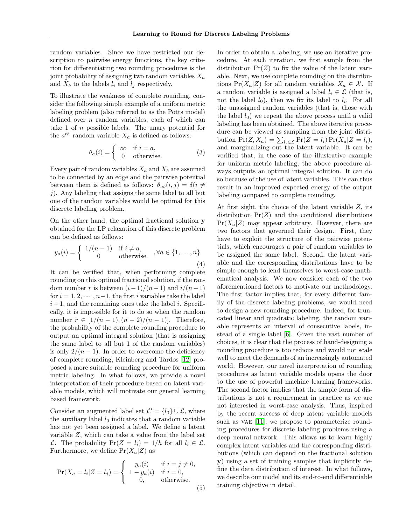random variables. Since we have restricted our description to pairwise energy functions, the key criterion for differentiating two rounding procedures is the joint probability of assigning two random variables  $X_a$ and  $X_b$  to the labels  $l_i$  and  $l_j$  respectively.

To illustrate the weakness of complete rounding, consider the following simple example of a uniform metric labeling problem (also referred to as the Potts model) defined over  $n$  random variables, each of which can take  $1$  of  $n$  possible labels. The unary potential for the  $a^{th}$  random variable  $X_a$  is defined as follows:

$$
\theta_a(i) = \begin{cases} \infty & \text{if } i = a, \\ 0 & \text{otherwise.} \end{cases}
$$
 (3)

Every pair of random variables  $X_a$  and  $X_b$  are assumed to be connected by an edge and the pairwise potential between them is defined as follows:  $\theta_{ab}(i, j) = \delta(i \neq j)$  $j$ ). Any labeling that assigns the same label to all but one of the random variables would be optimal for this discrete labeling problem.

On the other hand, the optimal fractional solution y obtained for the LP relaxation of this discrete problem can be defined as follows:

$$
y_a(i) = \begin{cases} 1/(n-1) & \text{if } i \neq a, \\ 0 & \text{otherwise.} \end{cases}, \forall a \in \{1, \dots, n\}
$$
(4)

It can be verified that, when performing complete rounding on this optimal fractional solution, if the random number r is between  $(i-1)/(n-1)$  and  $i/(n-1)$ for  $i = 1, 2, \dots, n-1$ , the first i variables take the label  $i+1$ , and the remaining ones take the label i. Specifically, it is impossible for it to do so when the random number  $r \in [1/(n-1),(n-2)/(n-1)]$ . Therefore, the probability of the complete rounding procedure to output an optimal integral solution (that is assigning the same label to all but 1 of the random variables) is only  $2/(n-1)$ . In order to overcome the deficiency of complete rounding, Kleinberg and Tardos [\[12\]](#page-8-6) proposed a more suitable rounding procedure for uniform metric labeling. In what follows, we provide a novel interpretation of their procedure based on latent variable models, which will motivate our general learning based framework.

Consider an augmented label set  $\mathcal{L}' = \{l_0\} \cup \mathcal{L}$ , where the auxiliary label  $l_0$  indicates that a random variable has not yet been assigned a label. We define a latent variable Z, which can take a value from the label set  $\mathcal{L}$ . The probability  $Pr(Z = l_i) = 1/h$  for all  $l_i \in \mathcal{L}$ . Furthermore, we define  $Pr(X_a|Z)$  as

$$
\Pr(X_a = l_i | Z = l_j) = \begin{cases} y_a(i) & \text{if } i = j \neq 0, \\ 1 - y_a(i) & \text{if } i = 0, \\ 0, & \text{otherwise.} \end{cases}
$$

In order to obtain a labeling, we use an iterative procedure. At each iteration, we first sample from the distribution  $Pr(Z)$  to fix the value of the latent variable. Next, we use complete rounding on the distributions  $Pr(X_a|Z)$  for all random variables  $X_a \in \mathcal{X}$ . If a random variable is assigned a label  $l_i \in \mathcal{L}$  (that is, not the label  $l_0$ ), then we fix its label to  $l_i$ . For all the unassigned random variables (that is, those with the label  $l_0$ ) we repeat the above process until a valid labeling has been obtained. The above iterative procedure can be viewed as sampling from the joint distribution  $Pr(Z, X_a) = \sum_{l_i \in \mathcal{L}} Pr(Z = l_i) Pr(X_a | Z = l_i),$ and marginalizing out the latent variable. It can be verified that, in the case of the illustrative example for uniform metric labeling, the above procedure always outputs an optimal integral solution. It can do so because of the use of latent variables. This can thus result in an improved expected energy of the output labeling compared to complete rounding.

At first sight, the choice of the latent variable  $Z$ , its distribution  $Pr(Z)$  and the conditional distributions  $Pr(X_a|Z)$  may appear arbitrary. However, there are two factors that governed their design. First, they have to exploit the structure of the pairwise potentials, which encourages a pair of random variables to be assigned the same label. Second, the latent variable and the corresponding distributions have to be simple enough to lend themselves to worst-case mathematical analysis. We now consider each of the two aforementioned factors to motivate our methodology. The first factor implies that, for every different family of the discrete labeling problems, we would need to design a new rounding procedure. Indeed, for truncated linear and quadratic labeling, the random variable represents an interval of consecutive labels, instead of a single label [\[6\]](#page-8-1). Given the vast number of choices, it is clear that the process of hand-designing a rounding procedure is too tedious and would not scale well to meet the demands of an increasingly automated world. However, our novel interpretation of rounding procedures as latent variable models opens the door to the use of powerful machine learning frameworks. The second factor implies that the simple form of distributions is not a requirement in practice as we are not interested in worst-case analysis. Thus, inspired by the recent success of deep latent variable models such as VAE [\[11\]](#page-8-15), we propose to parameterize rounding procedures for discrete labeling problems using a deep neural network. This allows us to learn highly complex latent variables and the corresponding distributions (which can depend on the fractional solution y) using a set of training samples that implicitly define the data distribution of interest. In what follows, we describe our model and its end-to-end differentiable training objective in detail.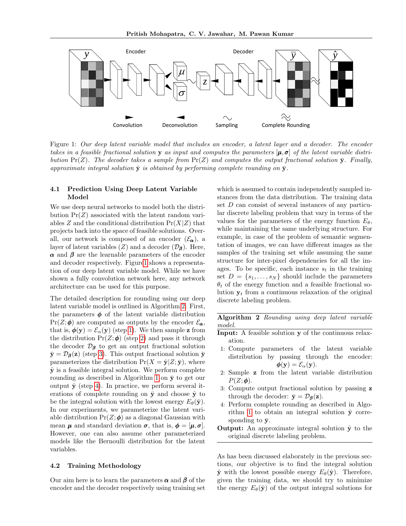

<span id="page-4-0"></span>Figure 1: Our deep latent variable model that includes an encoder, a latent layer and a decoder. The encoder takes in a feasible fractional solution y as input and computes the parameters  $[\mu, \sigma]$  of the latent variable distribution  $Pr(Z)$ . The decoder takes a sample from  $Pr(Z)$  and computes the output fractional solution  $\bar{y}$ . Finally, approximate integral solution  $\hat{y}$  is obtained by performing complete rounding on  $\bar{y}$ .

### <span id="page-4-2"></span>4.1 Prediction Using Deep Latent Variable Model

We use deep neural networks to model both the distribution  $Pr(Z)$  associated with the latent random variables Z and the conditional distribution  $Pr(X|Z)$  that projects back into the space of feasible solutions. Overall, our network is composed of an encoder  $(\mathcal{E}_{\alpha})$ , a layer of latent variables  $(Z)$  and a decoder  $(\mathcal{D}_{\beta})$ . Here,  $\alpha$  and  $\beta$  are the learnable parameters of the encoder and decoder respectively. Figur[e1](#page-4-0) shows a representation of our deep latent variable model. While we have shown a fully convolution network here, any network architecture can be used for this purpose.

The detailed description for rounding using our deep latent variable model is outlined in Algorithm [2.](#page-4-1) First, the parameters  $\phi$  of the latent variable distribution  $Pr(Z; \phi)$  are computed as outputs by the encoder  $\mathcal{E}_{\alpha}$ , that is,  $\phi(\mathbf{y}) = \mathcal{E}_{\alpha}(\mathbf{y})$  (step [1\)](#page-4-1). We then sample **z** from the distribution  $Pr(Z; \phi)$  (step [2\)](#page-4-1) and pass it through the decoder  $\mathcal{D}_{\beta}$  to get an output fractional solution  $\bar{y} = \mathcal{D}_{\beta}(z)$  (step [3\)](#page-4-1). This output fractional solution  $\bar{y}$ parameterizes the distribution  $Pr(X = \hat{y} | Z; \bar{y})$ , where  $\hat{y}$  is a feasible integral solution. We perform complete rounding as described in Algorithm [1](#page-2-1) on  $\bar{y}$  to get our output  $\hat{y}$  (step [4\)](#page-4-1). In practice, we perform several iterations of complete rounding on  $\bar{y}$  and choose  $\hat{y}$  to be the integral solution with the lowest energy  $E_{\theta}(\hat{\mathbf{y}})$ . In our experiments, we parameterize the latent variable distribution  $Pr(Z; \phi)$  as a diagonal Gaussian with mean  $\mu$  and standard deviation  $\sigma$ , that is,  $\phi = [\mu, \sigma]$ . However, one can also assume other parameterized models like the Bernoulli distribution for the latent variables.

#### 4.2 Training Methodology

Our aim here is to learn the parameters  $\alpha$  and  $\beta$  of the encoder and the decoder respectively using training set

which is assumed to contain independently sampled instances from the data distribution. The training data set  $D$  can consist of several instances of any particular discrete labeling problem that vary in terms of the values for the parameters of the energy function  $E_{\theta}$ , while maintaining the same underlying structure. For example, in case of the problem of semantic segmentation of images, we can have different images as the samples of the training set while assuming the same structure for inter-pixel dependencies for all the images. To be specific, each instance  $s_t$  in the training set  $D = \{s_1, \ldots, s_N\}$  should include the parameters  $\theta_t$  of the energy function and a feasible fractional solution  $y_t$  from a continuous relaxation of the original discrete labeling problem.

Algorithm 2 Rounding using deep latent variable model.

- <span id="page-4-1"></span>Input: A feasible solution y of the continuous relaxation.
- 1: Compute parameters of the latent variable distribution by passing through the encoder:  $\phi(\mathbf{y}) = \mathcal{E}_{\alpha}(\mathbf{y}).$
- 2: Sample z from the latent variable distribution  $P(Z; \phi)$ .
- 3: Compute output fractional solution by passing z through the decoder:  $\bar{y} = \mathcal{D}_{\beta}(z)$ .
- 4: Perform complete rounding as described in Algo-rithm [1](#page-2-1) to obtain an integral solution  $\hat{y}$  corresponding to  $\bar{y}$ .
- **Output:** An approximate integral solution  $\hat{y}$  to the original discrete labeling problem.

As has been discussed elaborately in the previous sections, our objective is to find the integral solution  $\hat{\mathbf{y}}$  with the lowest possible energy  $E_{\theta}(\hat{\mathbf{y}})$ . Therefore, given the training data, we should try to minimize the energy  $E_{\theta}(\hat{\mathbf{y}})$  of the output integral solutions for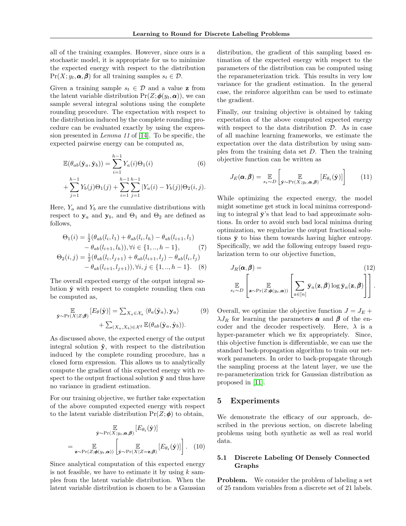all of the training examples. However, since ours is a stochastic model, it is appropriate for us to minimize the expected energy with respect to the distribution  $Pr(X; y_t, \boldsymbol{\alpha}, \boldsymbol{\beta})$  for all training samples  $s_t \in \mathcal{D}$ .

Given a training sample  $s_t \in \mathcal{D}$  and a value **z** from the latent variable distribution  $Pr(Z; \phi(y_t, \alpha))$ , we can sample several integral solutions using the complete rounding procedure. The expectation with respect to the distribution induced by the complete rounding procedure can be evaluated exactly by using the expression presented in Lemma 11 of [\[14\]](#page-8-19). To be specific, the expected pairwise energy can be computed as,

$$
\mathbb{E}(\theta_{ab}(\hat{\mathbf{y}}_a, \hat{\mathbf{y}}_b)) = \sum_{i=1}^{h-1} Y_a(i)\Theta_1(i)
$$
(6)  
 
$$
+ \sum_{j=1}^{h-1} Y_b(j)\Theta_1(j) + \sum_{i=1}^{h-1} \sum_{j=1}^{h-1} |Y_a(i) - Y_b(j)|\Theta_2(i, j).
$$

Here,  $Y_a$  and  $Y_b$  are the cumulative distributions with respect to  $y_a$  and  $y_b$ , and  $\Theta_1$  and  $\Theta_2$  are defined as follows,

$$
\Theta_1(i) = \frac{1}{2} (\theta_{ab}(l_i, l_1) + \theta_{ab}(l_i, l_h) - \theta_{ab}(l_{i+1}, l_1) - \theta_{ab}(l_{i+1}, l_h)), \forall i \in \{1, ..., h-1\}, \tag{7}
$$

$$
\Theta_2(i, j) = \frac{1}{2} (\theta_{ab}(l_i, l_{j+1}) + \theta_{ab}(l_{i+1}, l_j) - \theta_{ab}(l_i, l_j) - \theta_{ab}(l_{i+1}, l_{j+1})), \forall i, j \in \{1, ..., h-1\}. \tag{8}
$$

The overall expected energy of the output integral solution  $\hat{y}$  with respect to complete rounding then can be computed as,

$$
\mathbb{E}_{\hat{\mathbf{y}} \sim \Pr(X|Z;\boldsymbol{\beta})} \left[ E_{\theta}(\hat{\mathbf{y}}) \right] = \sum_{X_a \in \mathcal{X}_a} \langle \theta_a(\hat{\mathbf{y}}_a), \mathbf{y}_a \rangle \tag{9}
$$
\n
$$
+ \sum_{(X_a, X_b) \in \mathcal{X}^2} \mathbb{E}(\theta_{ab}(\hat{\mathbf{y}}_a, \hat{\mathbf{y}}_b)).
$$

As discussed above, the expected energy of the output integral solution  $\hat{y}$ , with respect to the distribution induced by the complete rounding procedure, has a closed form expression. This allows us to analytically compute the gradient of this expected energy with respect to the output fractional solution  $\bar{y}$  and thus have no variance in gradient estimation.

For our training objective, we further take expectation of the above computed expected energy with respect to the latent variable distribution  $Pr(Z; \phi)$  to obtain,

$$
\hat{\mathbf{y}} \sim \Pr(X; y_t, \boldsymbol{\alpha}, \boldsymbol{\beta}) \left[ E_{\theta_t}(\hat{\mathbf{y}}) \right]
$$
\n
$$
= \mathbb{E}_{\mathbf{z} \sim \Pr(Z; \boldsymbol{\phi}(y_t, \boldsymbol{\alpha}))} \left[ \mathbb{E}_{\hat{\mathbf{y}} \sim \Pr(X|Z = \mathbf{z}; \boldsymbol{\beta})} \left[ E_{\theta_t}(\hat{\mathbf{y}}) \right] \right]. \quad (10)
$$

Since analytical computation of this expected energy is not feasible, we have to estimate it by using  $k$  samples from the latent variable distribution. When the latent variable distribution is chosen to be a Gaussian

distribution, the gradient of this sampling based estimation of the expected energy with respect to the parameters of the distribution can be computed using the reparameterization trick. This results in very low variance for the gradient estimation. In the general case, the reinforce algorithm can be used to estimate the gradient.

Finally, our training objective is obtained by taking expectation of the above computed expected energy with respect to the data distribution  $\mathcal{D}$ . As in case of all machine learning frameworks, we estimate the expectation over the data distribution by using samples from the training data set  $D$ . Then the training objective function can be written as

$$
J_E(\boldsymbol{\alpha}, \boldsymbol{\beta}) = \mathop{\mathbb{E}}_{s_t \sim D} \left[ \mathop{\mathbb{E}}_{\hat{\mathbf{y}} \sim \Pr(X; y_t, \boldsymbol{\alpha}, \boldsymbol{\beta})} \left[ E_{\theta_t}(\hat{\mathbf{y}}) \right] \right]
$$
(11)

While optimizing the expected energy, the model might sometime get stuck in local minima corresponding to integral  $\bar{\mathbf{v}}$ 's that lead to bad approximate solutions. In order to avoid such bad local minima during optimization, we regularize the output fractional solutions  $\bar{y}$  to bias them towards having higher entropy. Specifically, we add the following entropy based regularization term to our objective function,

$$
J_R(\boldsymbol{\alpha}, \boldsymbol{\beta}) = \left[\mathbb{E}_{s_t \sim D} \left[ \mathbb{E}_{\mathbf{z} \sim \Pr(Z; \boldsymbol{\phi}(y_t, \boldsymbol{\alpha}))} \left[ \sum_{a \in [n]} \bar{\mathbf{y}}_a(\mathbf{z}, \boldsymbol{\beta}) \log \bar{\mathbf{y}}_a(\mathbf{z}, \boldsymbol{\beta}) \right] \right].
$$
\n(12)

Overall, we optimize the objective function  $J = J_E +$  $\lambda J_R$  for learning the parameters  $\alpha$  and  $\beta$  of the encoder and the decoder respectively. Here,  $\lambda$  is a hyper-parameter which we fix appropriately. Since, this objective function is differentiable, we can use the standard back-propagation algorithm to train our network parameters. In order to back-propagate through the sampling process at the latent layer, we use the re-parameterization trick for Gaussian distribution as proposed in [\[11\]](#page-8-15).

## 5 Experiments

We demonstrate the efficacy of our approach, described in the previous section, on discrete labeling problems using both synthetic as well as real world data.

### 5.1 Discrete Labeling Of Densely Connected Graphs

Problem. We consider the problem of labeling a set of 25 random variables from a discrete set of 21 labels.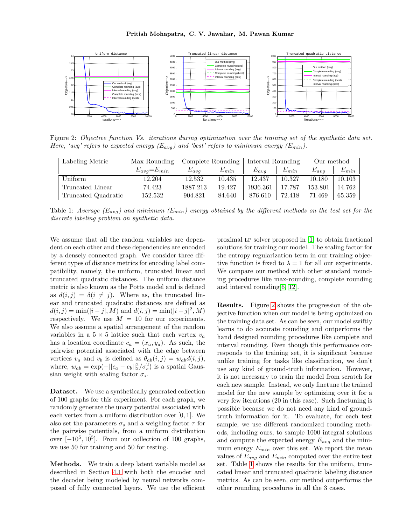

<span id="page-6-0"></span>Figure 2: Objective function Vs. iterations during optimization over the training set of the synthetic data set. Here, 'avg' refers to expected energy  $(E_{avg})$  and 'best' refers to minimum energy  $(E_{min})$ .

| Labeling Metric     | Max Rounding        | Complete Rounding |           | Interval Rounding |           | Our method |           |
|---------------------|---------------------|-------------------|-----------|-------------------|-----------|------------|-----------|
|                     | $E_{avg} = E_{min}$ | $E_{avg}$         | $E_{min}$ | $E_{avg}$         | $E_{min}$ | $E_{avg}$  | $E_{min}$ |
| Uniform.            | 12.204              | 12.532            | 10.435    | 12.437            | 10.327    | 10.180     | 10.103    |
| Truncated Linear    | 74.423              | 1887.213          | 19.427    | 1936.361          | 17.787    | 153.801    | 14.762    |
| Truncated Quadratic | 152.532             | 904.821           | 84.640    | 876.610           | 72.418    | 71.469     | 65.359    |

Table 1: Average  $(E_{avg})$  and minimum  $(E_{min})$  energy obtained by the different methods on the test set for the discrete labeling problem on synthetic data.

We assume that all the random variables are dependent on each other and these dependencies are encoded by a densely connected graph. We consider three different types of distance metrics for encoding label compatibility, namely, the uniform, truncated linear and truncated quadratic distances. The uniform distance metric is also known as the Potts model and is defined as  $d(i, j) = \delta(i \neq j)$ . Where as, the truncated linear and truncated quadratic distances are defined as  $d(i, j) = \min(|i - j|, M)$  and  $d(i, j) = \min(|i - j|^2, M)$ respectively. We use  $M = 10$  for our experiments. We also assume a spatial arrangement of the random variables in a  $5 \times 5$  lattice such that each vertex  $v_a$ has a location coordinate  $c_a = (x_a, y_a)$ . As such, the pairwise potential associated with the edge between vertices  $v_a$  and  $v_b$  is defined as  $\theta_{ab}(i, j) = w_{ab}d(i, j),$ where,  $w_{ab} = \exp(-||c_a - c_b||_2^2/\sigma_s^2)$  is a spatial Gaussian weight with scaling factor  $\sigma_s$ .

Dataset. We use a synthetically generated collection of 100 graphs for this experiment. For each graph, we randomly generate the unary potential associated with each vertex from a uniform distribution over [0, 1]. We also set the parameters  $\sigma_s$  and a weighing factor  $\tau$  for the pairwise potentials, from a uniform distribution over  $[-10^5, 10^5]$ . From our collection of 100 graphs, we use 50 for training and 50 for testing.

Methods. We train a deep latent variable model as described in Section [4.1](#page-4-2) with both the encoder and the decoder being modeled by neural networks composed of fully connected layers. We use the efficient

<span id="page-6-1"></span>proximal lp solver proposed in [\[1\]](#page-8-20) to obtain fractional solutions for training our model. The scaling factor for the entropy regularization term in our training objective function is fixed to  $\lambda = 1$  for all our experiments. We compare our method with other standard rounding procedures like max-rounding, complete rounding and interval rounding[\[6,](#page-8-1) [12\]](#page-8-6).

Results. Figure [2](#page-6-0) shows the progression of the objective function when our model is being optimized on the training data set. As can be seen, our model swiftly learns to do accurate rounding and outperforms the hand designed rounding procedures like complete and interval rounding. Even though this performance corresponds to the training set, it is significant because unlike training for tasks like classification, we don't use any kind of ground-truth information. However, it is not necessary to train the model from scratch for each new sample. Instead, we only finetune the trained model for the new sample by optimizing over it for a very few iterations (20 in this case). Such finetuning is possible because we do not need any kind of groundtruth information for it. To evaluate, for each test sample, we use different randomized rounding methods, including ours, to sample 1000 integral solutions and compute the expected energy  $E_{avg}$  and the minimum energy  $E_{min}$  over this set. We report the mean values of  $E_{avg}$  and  $E_{min}$  computed over the entire test set. Table [1](#page-6-1) shows the results for the uniform, truncated linear and truncated quadratic labeling distance metrics. As can be seen, our method outperforms the other rounding procedures in all the 3 cases.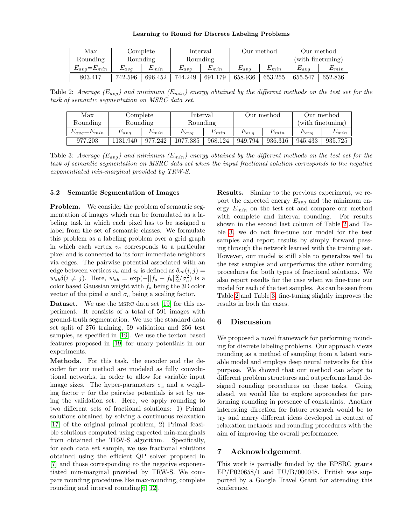| Max                 | Complete  |           | Interval       |           | Our method     |           | Our method        |           |  |
|---------------------|-----------|-----------|----------------|-----------|----------------|-----------|-------------------|-----------|--|
| Rounding            | Rounding  |           | Rounding       |           |                |           | (with finetuning) |           |  |
| $E_{avg} = E_{min}$ | $E_{ava}$ | $L_{min}$ | $\omega_{ava}$ | $L_{min}$ | $\omega_{ava}$ | $L_{min}$ | $E_{ava}$         | $L_{min}$ |  |
| 803.417             | 742.596   | 696.452   | 744.249        | 691.179   | 658.936        | 653.255   | 655.547           | 652.836   |  |

Table 2: Average  $(E_{avg})$  and minimum  $(E_{min})$  energy obtained by the different methods on the test set for the task of semantic segmentation on MSRC data set.

| Max                               | Complete       |           | Interval       |           | Our method          |           | Our method          |           |
|-----------------------------------|----------------|-----------|----------------|-----------|---------------------|-----------|---------------------|-----------|
| Rounding                          | Rounding       |           | Rounding       |           |                     |           | (with finetuning)   |           |
| $-\omega_{min}$<br>$\omega_{ava}$ | $\omega_{ava}$ | $L_{min}$ | $\omega_{avg}$ | $L_{min}$ | $\mathcal{L}_{avg}$ | $L_{min}$ | $\mathcal{L}_{avg}$ | $_{Lmin}$ |
| 977.203                           | 1131.940       | 977.242   | 1077.385       | 968.124   | 949.794             | 936.316   | 945.433             | 935.725   |

Table 3: Average  $(E_{avg})$  and minimum  $(E_{min})$  energy obtained by the different methods on the test set for the task of semantic segmentation on MSRC data set when the input fractional solution corresponds to the negative exponentiated min-marginal provided by TRW-S.

#### 5.2 Semantic Segmentation of Images

Problem. We consider the problem of semantic segmentation of images which can be formulated as a labeling task in which each pixel has to be assigned a label from the set of semantic classes. We formulate this problem as a labeling problem over a grid graph in which each vertex  $v_a$  corresponds to a particular pixel and is connected to its four immediate neighbors via edges. The pairwise potential associated with an edge between vertices  $v_a$  and  $v_b$  is defined as  $\theta_{ab}(i, j) =$  $w_{ab}\delta(i \neq j)$ . Here,  $w_{ab} = \exp(-||f_a - f_b||_2^2/\sigma_c^2)$  is a color based Gaussian weight with  $f_a$  being the 3D color vector of the pixel a and  $\sigma_c$  being a scaling factor.

Dataset. We use the msrc data set [\[19\]](#page-8-21) for this experiment. It consists of a total of 591 images with ground-truth segmentation. We use the standard data set split of 276 training, 59 validation and 256 test samples, as specified in [\[19\]](#page-8-21). We use the texton based features proposed in [\[19\]](#page-8-21) for unary potentials in our experiments.

Methods. For this task, the encoder and the decoder for our method are modeled as fully convolutional networks, in order to allow for variable input image sizes. The hyper-parameters  $\sigma_c$  and a weighing factor  $\tau$  for the pairwise potentials is set by using the validation set. Here, we apply rounding to two different sets of fractional solutions: 1) Primal solutions obtained by solving a continuous relaxation [\[17\]](#page-8-3) of the original primal problem, 2) Primal feasible solutions computed using expected min-marginals from obtained the TRW-S algorithm. Specifically, for each data set sample, we use fractional solutions obtained using the efficient QP solver proposed in [\[7\]](#page-8-22) and those corresponding to the negative exponentiated min-marginal provided by TRW-S. We compare rounding procedures like max-rounding, complete rounding and interval rounding[\[6,](#page-8-1) [12\]](#page-8-6).

<span id="page-7-1"></span><span id="page-7-0"></span>Results. Similar to the previous experiment, we report the expected energy  $E_{avg}$  and the minimum energy  $E_{min}$  on the test set and compare our method with complete and interval rounding. For results shown in the second last column of Table [2](#page-7-0) and Table [3,](#page-7-1) we do not fine-tune our model for the test samples and report results by simply forward passing through the network learned with the training set. However, our model is still able to generalize well to the test samples and outperforms the other rounding procedures for both types of fractional solutions. We also report results for the case when we fine-tune our model for each of the test samples. As can be seen from Table [2](#page-7-0) and Table [3,](#page-7-1) fine-tuning slightly improves the results in both the cases.

## 6 Discussion

We proposed a novel framework for performing rounding for discrete labeling problems. Our approach views rounding as a method of sampling from a latent variable model and employs deep neural networks for this purpose. We showed that our method can adapt to different problem structures and outperforms hand designed rounding procedures on these tasks. Going ahead, we would like to explore approaches for performing rounding in presence of constraints. Another interesting direction for future research would be to try and marry different ideas developed in context of relaxation methods and rounding procedures with the aim of improving the overall performance.

### 7 Acknowledgement

This work is partially funded by the EPSRC grants  $EP/P020658/1$  and  $TU/B/000048$ . Pritish was supported by a Google Travel Grant for attending this conference.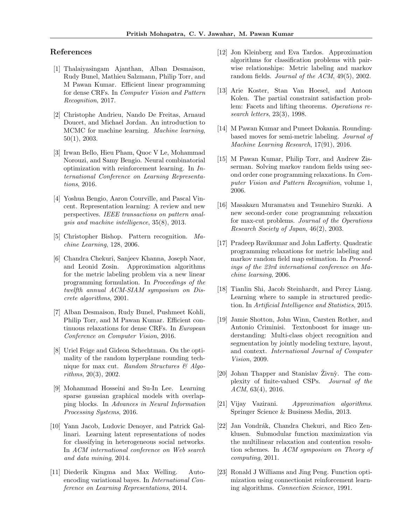## References

- <span id="page-8-20"></span>[1] Thalaiyasingam Ajanthan, Alban Desmaison, Rudy Bunel, Mathieu Salzmann, Philip Torr, and M Pawan Kumar. Efficient linear programming for dense CRFs. In Computer Vision and Pattern Recognition, 2017.
- <span id="page-8-9"></span>[2] Christophe Andrieu, Nando De Freitas, Arnaud Doucet, and Michael Jordan. An introduction to MCMC for machine learning. Machine learning, 50(1), 2003.
- <span id="page-8-16"></span>[3] Irwan Bello, Hieu Pham, Quoc V Le, Mohammad Norouzi, and Samy Bengio. Neural combinatorial optimization with reinforcement learning. In International Conference on Learning Representations, 2016.
- <span id="page-8-12"></span>[4] Yoshua Bengio, Aaron Courville, and Pascal Vincent. Representation learning: A review and new perspectives. IEEE transactions on pattern analysis and machine intelligence, 35(8), 2013.
- <span id="page-8-10"></span>[5] Christopher Bishop. Pattern recognition. Machine Learning, 128, 2006.
- <span id="page-8-1"></span>[6] Chandra Chekuri, Sanjeev Khanna, Joseph Naor, and Leonid Zosin. Approximation algorithms for the metric labeling problem via a new linear programming formulation. In Proceedings of the twelfth annual ACM-SIAM symposium on Discrete algorithms, 2001.
- <span id="page-8-22"></span>[7] Alban Desmaison, Rudy Bunel, Pushmeet Kohli, Philip Torr, and M Pawan Kumar. Efficient continuous relaxations for dense CRFs. In European Conference on Computer Vision, 2016.
- <span id="page-8-7"></span>[8] Uriel Feige and Gideon Schechtman. On the optimality of the random hyperplane rounding technique for max cut. Random Structures  $\mathcal{C}$  Algorithms, 20(3), 2002.
- <span id="page-8-13"></span>[9] Mohammad Hosseini and Su-In Lee. Learning sparse gaussian graphical models with overlapping blocks. In Advances in Neural Information Processing Systems, 2016.
- <span id="page-8-14"></span>[10] Yann Jacob, Ludovic Denoyer, and Patrick Gallinari. Learning latent representations of nodes for classifying in heterogeneous social networks. In ACM international conference on Web search and data mining, 2014.
- <span id="page-8-15"></span>[11] Diederik Kingma and Max Welling. Autoencoding variational bayes. In International Conference on Learning Representations, 2014.
- <span id="page-8-6"></span>[12] Jon Kleinberg and Eva Tardos. Approximation algorithms for classification problems with pairwise relationships: Metric labeling and markov random fields. Journal of the ACM, 49(5), 2002.
- <span id="page-8-2"></span>[13] Arie Koster, Stan Van Hoesel, and Antoon Kolen. The partial constraint satisfaction problem: Facets and lifting theorems. Operations research letters, 23(3), 1998.
- <span id="page-8-19"></span>[14] M Pawan Kumar and Puneet Dokania. Roundingbased moves for semi-metric labeling. Journal of Machine Learning Research, 17(91), 2016.
- <span id="page-8-4"></span>[15] M Pawan Kumar, Philip Torr, and Andrew Zisserman. Solving markov random fields using second order cone programming relaxations. In Computer Vision and Pattern Recognition, volume 1, 2006.
- <span id="page-8-5"></span>[16] Masakazu Muramatsu and Tsunehiro Suzuki. A new second-order cone programming relaxation for max-cut problems. Journal of the Operations Research Society of Japan, 46(2), 2003.
- <span id="page-8-3"></span>[17] Pradeep Ravikumar and John Lafferty. Quadratic programming relaxations for metric labeling and markov random field map estimation. In Proceedings of the 23rd international conference on Machine learning, 2006.
- <span id="page-8-11"></span>[18] Tianlin Shi, Jacob Steinhardt, and Percy Liang. Learning where to sample in structured prediction. In Artificial Intelligence and Statistics, 2015.
- <span id="page-8-21"></span>[19] Jamie Shotton, John Winn, Carsten Rother, and Antonio Criminisi. Textonboost for image understanding: Multi-class object recognition and segmentation by jointly modeling texture, layout, and context. International Journal of Computer Vision, 2009.
- <span id="page-8-0"></span>[20] Johan Thapper and Stanislav  $\ddot{Z}$ ivn $\ddot{y}$ . The complexity of finite-valued CSPs. Journal of the  $ACM$ , 63(4), 2016.
- <span id="page-8-18"></span>[21] Vijay Vazirani. Approximation algorithms. Springer Science & Business Media, 2013.
- <span id="page-8-8"></span>[22] Jan Vondrák, Chandra Chekuri, and Rico Zenklusen. Submodular function maximization via the multilinear relaxation and contention resolution schemes. In ACM symposium on Theory of computing, 2011.
- <span id="page-8-17"></span>[23] Ronald J Williams and Jing Peng. Function optimization using connectionist reinforcement learning algorithms. Connection Science, 1991.